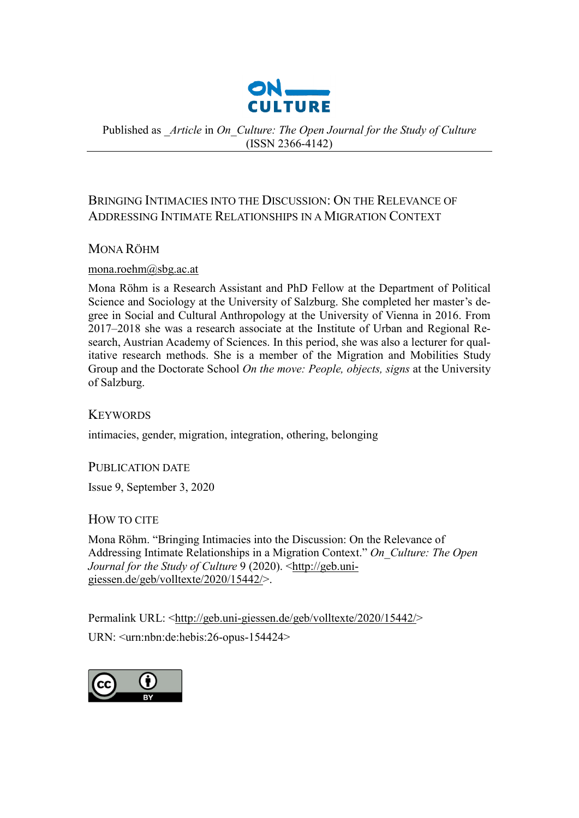

Published as *\_Article* in *On\_Culture: The Open Journal for the Study of Culture*  (ISSN 2366-4142)

# BRINGING INTIMACIES INTO THE DISCUSSION: ON THE RELEVANCE OF ADDRESSING INTIMATE RELATIONSHIPS IN A MIGRATION CONTEXT

## MONA RÖHM

## mona.roehm@sbg.ac.at

Mona Röhm is a Research Assistant and PhD Fellow at the Department of Political Science and Sociology at the University of Salzburg. She completed her master's degree in Social and Cultural Anthropology at the University of Vienna in 2016. From 2017–2018 she was a research associate at the Institute of Urban and Regional Research, Austrian Academy of Sciences. In this period, she was also a lecturer for qualitative research methods. She is a member of the Migration and Mobilities Study Group and the Doctorate School *On the move: People, objects, signs* at the University of Salzburg.

**KEYWORDS** 

intimacies, gender, migration, integration, othering, belonging

PUBLICATION DATE

Issue 9, September 3, 2020

## HOW TO CITE

Mona Röhm. "Bringing Intimacies into the Discussion: On the Relevance of Addressing Intimate Relationships in a Migration Context." *On\_Culture: The Open Journal for the Study of Culture* 9 (2020). [<http://geb.uni](http://geb.uni-giessen.de/geb/volltexte/2020/15442/)[giessen.de/geb/volltexte/2020/15442/>](http://geb.uni-giessen.de/geb/volltexte/2020/15442/).

Permalink URL: [<http://geb.uni-giessen.de/geb/volltexte/2020/15442/>](http://geb.uni-giessen.de/geb/volltexte/2020/15442/) URN: <urn:nbn:de:hebis:26-opus-154424>

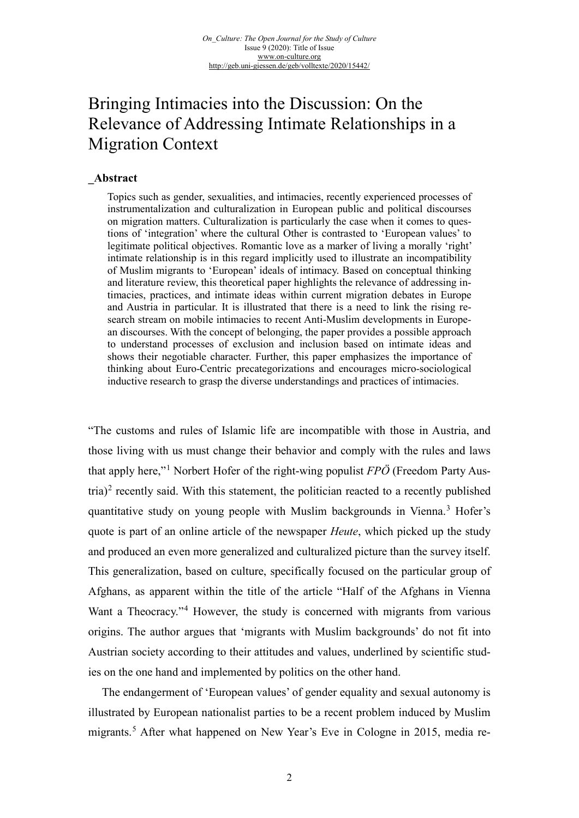# Bringing Intimacies into the Discussion: On the Relevance of Addressing Intimate Relationships in a Migration Context

## **\_Abstract**

Topics such as gender, sexualities, and intimacies, recently experienced processes of instrumentalization and culturalization in European public and political discourses on migration matters. Culturalization is particularly the case when it comes to questions of 'integration' where the cultural Other is contrasted to 'European values' to legitimate political objectives. Romantic love as a marker of living a morally 'right' intimate relationship is in this regard implicitly used to illustrate an incompatibility of Muslim migrants to 'European' ideals of intimacy. Based on conceptual thinking and literature review, this theoretical paper highlights the relevance of addressing intimacies, practices, and intimate ideas within current migration debates in Europe and Austria in particular. It is illustrated that there is a need to link the rising research stream on mobile intimacies to recent Anti-Muslim developments in European discourses. With the concept of belonging, the paper provides a possible approach to understand processes of exclusion and inclusion based on intimate ideas and shows their negotiable character. Further, this paper emphasizes the importance of thinking about Euro-Centric precategorizations and encourages micro-sociological inductive research to grasp the diverse understandings and practices of intimacies.

"The customs and rules of Islamic life are incompatible with those in Austria, and those living with us must change their behavior and comply with the rules and laws that apply here,"[1](#page-15-0) Norbert Hofer of the right-wing populist *FPÖ* (Freedom Party Aus-tria)<sup>[2](#page-15-1)</sup> recently said. With this statement, the politician reacted to a recently published quantitative study on young people with Muslim backgrounds in Vienna.<sup>[3](#page-15-2)</sup> Hofer's quote is part of an online article of the newspaper *Heute*, which picked up the study and produced an even more generalized and culturalized picture than the survey itself. This generalization, based on culture, specifically focused on the particular group of Afghans, as apparent within the title of the article "Half of the Afghans in Vienna Want a Theocracy."<sup>[4](#page-15-3)</sup> However, the study is concerned with migrants from various origins. The author argues that 'migrants with Muslim backgrounds' do not fit into Austrian society according to their attitudes and values, underlined by scientific studies on the one hand and implemented by politics on the other hand.

The endangerment of 'European values' of gender equality and sexual autonomy is illustrated by European nationalist parties to be a recent problem induced by Muslim migrants.<sup>[5](#page-15-4)</sup> After what happened on New Year's Eve in Cologne in 2015, media re-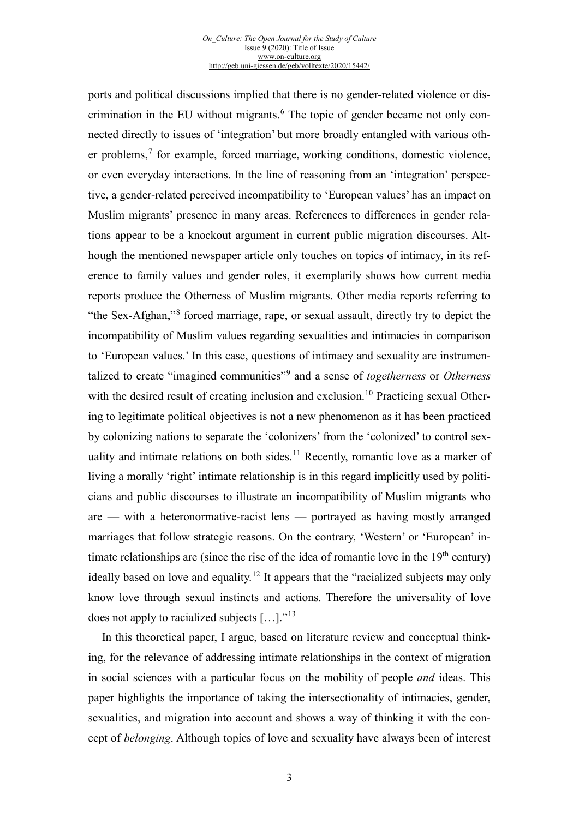#### *On\_Culture: The Open Journal for the Study of Culture* Issue 9 (2020): Title of Issue [www.on-culture.org](http://www.on-culture.org/) <http://geb.uni-giessen.de/geb/volltexte/2020/15442/>

ports and political discussions implied that there is no gender-related violence or dis-crimination in the EU without migrants.<sup>[6](#page-16-0)</sup> The topic of gender became not only connected directly to issues of 'integration' but more broadly entangled with various other problems, [7](#page-16-1) for example, forced marriage, working conditions, domestic violence, or even everyday interactions. In the line of reasoning from an 'integration' perspective, a gender-related perceived incompatibility to 'European values' has an impact on Muslim migrants' presence in many areas. References to differences in gender relations appear to be a knockout argument in current public migration discourses. Although the mentioned newspaper article only touches on topics of intimacy, in its reference to family values and gender roles, it exemplarily shows how current media reports produce the Otherness of Muslim migrants. Other media reports referring to "the Sex-Afghan,"[8](#page-16-2) forced marriage, rape, or sexual assault, directly try to depict the incompatibility of Muslim values regarding sexualities and intimacies in comparison to 'European values.' In this case, questions of intimacy and sexuality are instrumentalized to create "imagined communities"[9](#page-16-3) and a sense of *togetherness* or *Otherness* with the desired result of creating inclusion and exclusion.<sup>[10](#page-16-4)</sup> Practicing sexual Othering to legitimate political objectives is not a new phenomenon as it has been practiced by colonizing nations to separate the 'colonizers' from the 'colonized' to control sex-uality and intimate relations on both sides.<sup>[11](#page-16-5)</sup> Recently, romantic love as a marker of living a morally 'right' intimate relationship is in this regard implicitly used by politicians and public discourses to illustrate an incompatibility of Muslim migrants who are — with a heteronormative-racist lens — portrayed as having mostly arranged marriages that follow strategic reasons. On the contrary, 'Western' or 'European' intimate relationships are (since the rise of the idea of romantic love in the  $19<sup>th</sup>$  century) ideally based on love and equality.<sup>[12](#page-16-6)</sup> It appears that the "racialized subjects may only know love through sexual instincts and actions. Therefore the universality of love does not apply to racialized subjects  $[\dots]$ ."<sup>[13](#page-16-7)</sup>

In this theoretical paper, I argue, based on literature review and conceptual thinking, for the relevance of addressing intimate relationships in the context of migration in social sciences with a particular focus on the mobility of people *and* ideas. This paper highlights the importance of taking the intersectionality of intimacies, gender, sexualities, and migration into account and shows a way of thinking it with the concept of *belonging*. Although topics of love and sexuality have always been of interest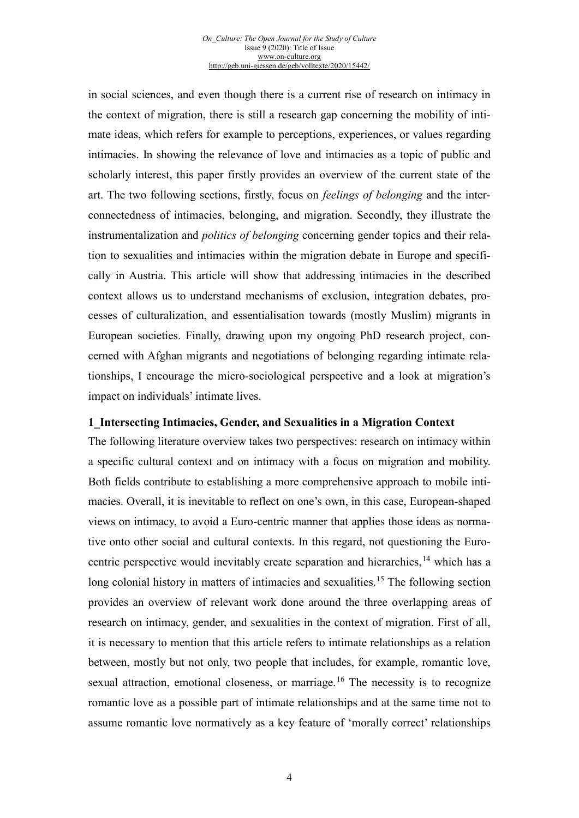#### *On\_Culture: The Open Journal for the Study of Culture* Issue 9 (2020): Title of Issue [www.on-culture.org](http://www.on-culture.org/) <http://geb.uni-giessen.de/geb/volltexte/2020/15442/>

in social sciences, and even though there is a current rise of research on intimacy in the context of migration, there is still a research gap concerning the mobility of intimate ideas, which refers for example to perceptions, experiences, or values regarding intimacies. In showing the relevance of love and intimacies as a topic of public and scholarly interest, this paper firstly provides an overview of the current state of the art. The two following sections, firstly, focus on *feelings of belonging* and the interconnectedness of intimacies, belonging, and migration. Secondly, they illustrate the instrumentalization and *politics of belonging* concerning gender topics and their relation to sexualities and intimacies within the migration debate in Europe and specifically in Austria. This article will show that addressing intimacies in the described context allows us to understand mechanisms of exclusion, integration debates, processes of culturalization, and essentialisation towards (mostly Muslim) migrants in European societies. Finally, drawing upon my ongoing PhD research project, concerned with Afghan migrants and negotiations of belonging regarding intimate relationships, I encourage the micro-sociological perspective and a look at migration's impact on individuals' intimate lives.

## **1\_Intersecting Intimacies, Gender, and Sexualities in a Migration Context**

The following literature overview takes two perspectives: research on intimacy within a specific cultural context and on intimacy with a focus on migration and mobility. Both fields contribute to establishing a more comprehensive approach to mobile intimacies. Overall, it is inevitable to reflect on one's own, in this case, European-shaped views on intimacy, to avoid a Euro-centric manner that applies those ideas as normative onto other social and cultural contexts. In this regard, not questioning the Eurocentric perspective would inevitably create separation and hierarchies,  $^{14}$  $^{14}$  $^{14}$  which has a long colonial history in matters of intimacies and sexualities.<sup>[15](#page-17-1)</sup> The following section provides an overview of relevant work done around the three overlapping areas of research on intimacy, gender, and sexualities in the context of migration. First of all, it is necessary to mention that this article refers to intimate relationships as a relation between, mostly but not only, two people that includes, for example, romantic love, sexual attraction, emotional closeness, or marriage.<sup>[16](#page-17-2)</sup> The necessity is to recognize romantic love as a possible part of intimate relationships and at the same time not to assume romantic love normatively as a key feature of 'morally correct' relationships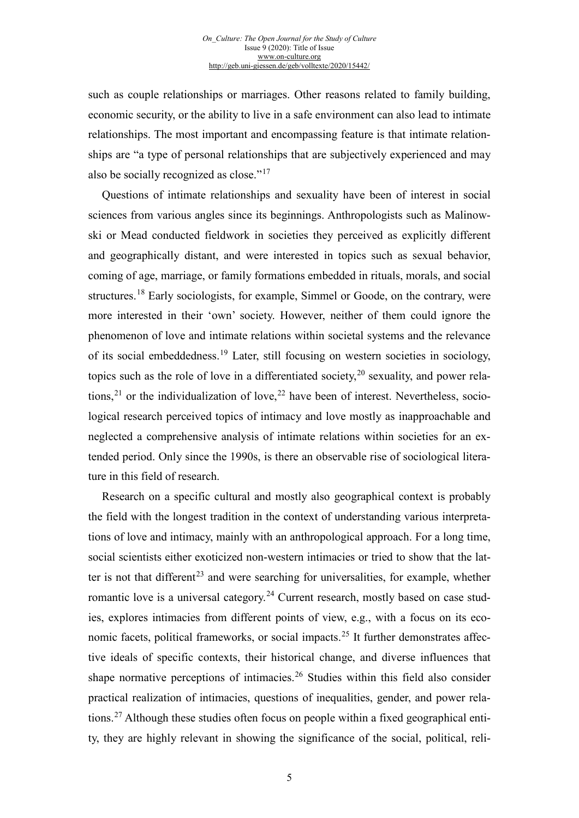such as couple relationships or marriages. Other reasons related to family building, economic security, or the ability to live in a safe environment can also lead to intimate relationships. The most important and encompassing feature is that intimate relationships are "a type of personal relationships that are subjectively experienced and may also be socially recognized as close."[17](#page-18-0)

Questions of intimate relationships and sexuality have been of interest in social sciences from various angles since its beginnings. Anthropologists such as Malinowski or Mead conducted fieldwork in societies they perceived as explicitly different and geographically distant, and were interested in topics such as sexual behavior, coming of age, marriage, or family formations embedded in rituals, morals, and social structures.[18](#page-18-1) Early sociologists, for example, Simmel or Goode, on the contrary, were more interested in their 'own' society. However, neither of them could ignore the phenomenon of love and intimate relations within societal systems and the relevance of its social embeddedness.[19](#page-18-2) Later, still focusing on western societies in sociology, topics such as the role of love in a differentiated society,  $20$  sexuality, and power rela-tions,<sup>[21](#page-18-4)</sup> or the individualization of love,<sup>[22](#page-18-5)</sup> have been of interest. Nevertheless, sociological research perceived topics of intimacy and love mostly as inapproachable and neglected a comprehensive analysis of intimate relations within societies for an extended period. Only since the 1990s, is there an observable rise of sociological literature in this field of research.

Research on a specific cultural and mostly also geographical context is probably the field with the longest tradition in the context of understanding various interpretations of love and intimacy, mainly with an anthropological approach. For a long time, social scientists either exoticized non-western intimacies or tried to show that the lat-ter is not that different<sup>[23](#page-18-6)</sup> and were searching for universalities, for example, whether romantic love is a universal category.<sup>[24](#page-18-7)</sup> Current research, mostly based on case studies, explores intimacies from different points of view, e.g., with a focus on its eco-nomic facets, political frameworks, or social impacts.<sup>[25](#page-18-8)</sup> It further demonstrates affective ideals of specific contexts, their historical change, and diverse influences that shape normative perceptions of intimacies.[26](#page-18-9) Studies within this field also consider practical realization of intimacies, questions of inequalities, gender, and power relations.[27](#page-18-10) Although these studies often focus on people within a fixed geographical entity, they are highly relevant in showing the significance of the social, political, reli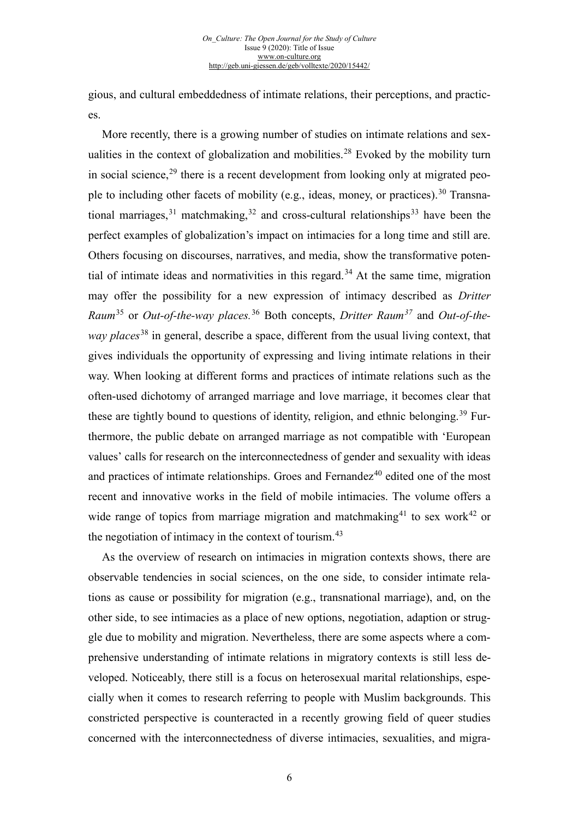gious, and cultural embeddedness of intimate relations, their perceptions, and practices.

More recently, there is a growing number of studies on intimate relations and sex-ualities in the context of globalization and mobilities.<sup>[28](#page-19-0)</sup> Evoked by the mobility turn in social science,  $29$  there is a recent development from looking only at migrated peo-ple to including other facets of mobility (e.g., ideas, money, or practices).<sup>[30](#page-19-2)</sup> Transnational marriages,  $31$  matchmaking,  $32$  and cross-cultural relationships  $33$  have been the perfect examples of globalization's impact on intimacies for a long time and still are. Others focusing on discourses, narratives, and media, show the transformative poten-tial of intimate ideas and normativities in this regard.<sup>[34](#page-19-6)</sup> At the same time, migration may offer the possibility for a new expression of intimacy described as *Dritter Raum*[35](#page-19-7) or *Out-of-the-way places.*[36](#page-19-8) Both concepts, *Dritter Raum[37](#page-19-9)* and *Out-of-theway places*[38](#page-19-10) in general, describe a space, different from the usual living context, that gives individuals the opportunity of expressing and living intimate relations in their way. When looking at different forms and practices of intimate relations such as the often-used dichotomy of arranged marriage and love marriage, it becomes clear that these are tightly bound to questions of identity, religion, and ethnic belonging.<sup>[39](#page-19-11)</sup> Furthermore, the public debate on arranged marriage as not compatible with 'European values' calls for research on the interconnectedness of gender and sexuality with ideas and practices of intimate relationships. Groes and Fernandez $40$  edited one of the most recent and innovative works in the field of mobile intimacies. The volume offers a wide range of topics from marriage migration and matchmaking<sup>[41](#page-19-13)</sup> to sex work<sup>[42](#page-19-14)</sup> or the negotiation of intimacy in the context of tourism. $43$ 

As the overview of research on intimacies in migration contexts shows, there are observable tendencies in social sciences, on the one side, to consider intimate relations as cause or possibility for migration (e.g., transnational marriage), and, on the other side, to see intimacies as a place of new options, negotiation, adaption or struggle due to mobility and migration. Nevertheless, there are some aspects where a comprehensive understanding of intimate relations in migratory contexts is still less developed. Noticeably, there still is a focus on heterosexual marital relationships, especially when it comes to research referring to people with Muslim backgrounds. This constricted perspective is counteracted in a recently growing field of queer studies concerned with the interconnectedness of diverse intimacies, sexualities, and migra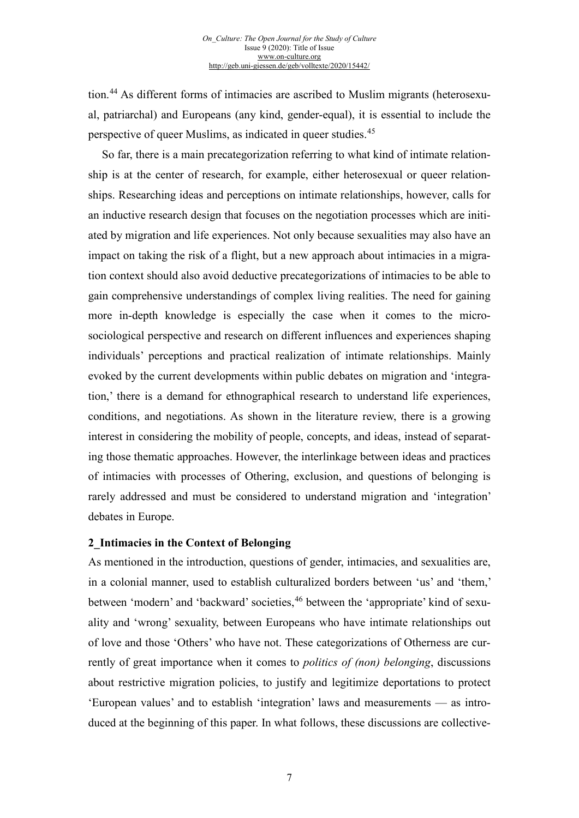tion.[44](#page-19-15) As different forms of intimacies are ascribed to Muslim migrants (heterosexual, patriarchal) and Europeans (any kind, gender-equal), it is essential to include the perspective of queer Muslims, as indicated in queer studies.[45](#page-19-16)

So far, there is a main precategorization referring to what kind of intimate relationship is at the center of research, for example, either heterosexual or queer relationships. Researching ideas and perceptions on intimate relationships, however, calls for an inductive research design that focuses on the negotiation processes which are initiated by migration and life experiences. Not only because sexualities may also have an impact on taking the risk of a flight, but a new approach about intimacies in a migration context should also avoid deductive precategorizations of intimacies to be able to gain comprehensive understandings of complex living realities. The need for gaining more in-depth knowledge is especially the case when it comes to the microsociological perspective and research on different influences and experiences shaping individuals' perceptions and practical realization of intimate relationships. Mainly evoked by the current developments within public debates on migration and 'integration,' there is a demand for ethnographical research to understand life experiences, conditions, and negotiations. As shown in the literature review, there is a growing interest in considering the mobility of people, concepts, and ideas, instead of separating those thematic approaches. However, the interlinkage between ideas and practices of intimacies with processes of Othering, exclusion, and questions of belonging is rarely addressed and must be considered to understand migration and 'integration' debates in Europe.

## **2\_Intimacies in the Context of Belonging**

As mentioned in the introduction, questions of gender, intimacies, and sexualities are, in a colonial manner, used to establish culturalized borders between 'us' and 'them,' between 'modern' and 'backward' societies,<sup>[46](#page-19-17)</sup> between the 'appropriate' kind of sexuality and 'wrong' sexuality, between Europeans who have intimate relationships out of love and those 'Others' who have not. These categorizations of Otherness are currently of great importance when it comes to *politics of (non) belonging*, discussions about restrictive migration policies, to justify and legitimize deportations to protect 'European values' and to establish 'integration' laws and measurements — as introduced at the beginning of this paper. In what follows, these discussions are collective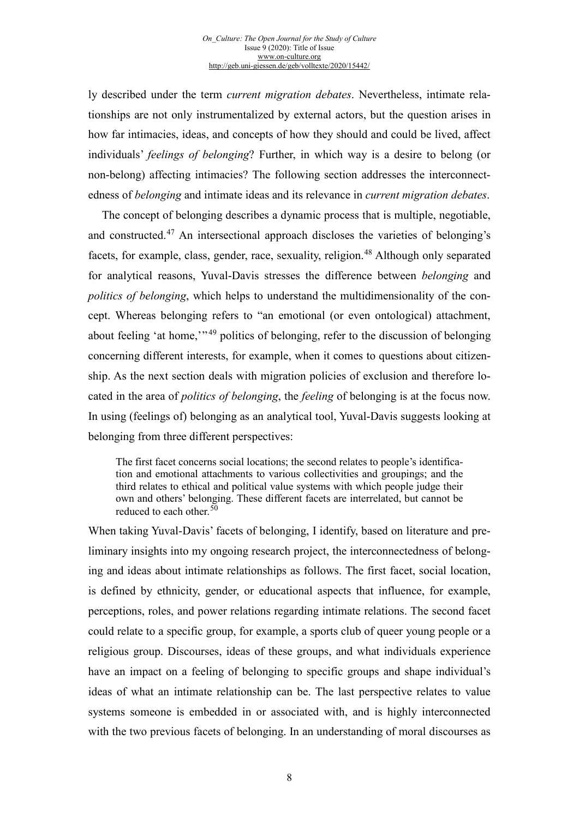ly described under the term *current migration debates*. Nevertheless, intimate relationships are not only instrumentalized by external actors, but the question arises in how far intimacies, ideas, and concepts of how they should and could be lived, affect individuals' *feelings of belonging*? Further, in which way is a desire to belong (or non-belong) affecting intimacies? The following section addresses the interconnectedness of *belonging* and intimate ideas and its relevance in *current migration debates*.

The concept of belonging describes a dynamic process that is multiple, negotiable, and constructed.[47](#page-19-18) An intersectional approach discloses the varieties of belonging's facets, for example, class, gender, race, sexuality, religion.<sup>[48](#page-19-19)</sup> Although only separated for analytical reasons, Yuval-Davis stresses the difference between *belonging* and *politics of belonging*, which helps to understand the multidimensionality of the concept. Whereas belonging refers to "an emotional (or even ontological) attachment, about feeling 'at home,'<sup>1[49](#page-19-20)</sup> politics of belonging, refer to the discussion of belonging concerning different interests, for example, when it comes to questions about citizenship. As the next section deals with migration policies of exclusion and therefore located in the area of *politics of belonging*, the *feeling* of belonging is at the focus now. In using (feelings of) belonging as an analytical tool, Yuval-Davis suggests looking at belonging from three different perspectives:

The first facet concerns social locations; the second relates to people's identification and emotional attachments to various collectivities and groupings; and the third relates to ethical and political value systems with which people judge their own and others' belonging. These different facets are interrelated, but cannot be reduced to each other.<sup>[50](#page-19-5)</sup>

When taking Yuval-Davis' facets of belonging, I identify, based on literature and preliminary insights into my ongoing research project, the interconnectedness of belonging and ideas about intimate relationships as follows. The first facet, social location, is defined by ethnicity, gender, or educational aspects that influence, for example, perceptions, roles, and power relations regarding intimate relations. The second facet could relate to a specific group, for example, a sports club of queer young people or a religious group. Discourses, ideas of these groups, and what individuals experience have an impact on a feeling of belonging to specific groups and shape individual's ideas of what an intimate relationship can be. The last perspective relates to value systems someone is embedded in or associated with, and is highly interconnected with the two previous facets of belonging. In an understanding of moral discourses as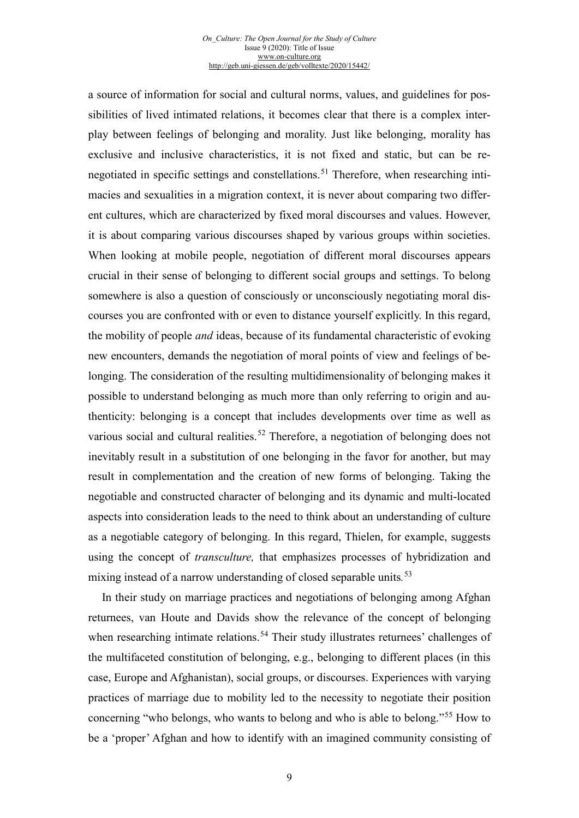#### *On\_Culture: The Open Journal for the Study of Culture* Issue 9 (2020): Title of Issue [www.on-culture.org](http://www.on-culture.org/) <http://geb.uni-giessen.de/geb/volltexte/2020/15442/>

a source of information for social and cultural norms, values, and guidelines for possibilities of lived intimated relations, it becomes clear that there is a complex interplay between feelings of belonging and morality. Just like belonging, morality has exclusive and inclusive characteristics, it is not fixed and static, but can be re-negotiated in specific settings and constellations.<sup>[51](#page-19-21)</sup> Therefore, when researching intimacies and sexualities in a migration context, it is never about comparing two different cultures, which are characterized by fixed moral discourses and values. However, it is about comparing various discourses shaped by various groups within societies. When looking at mobile people, negotiation of different moral discourses appears crucial in their sense of belonging to different social groups and settings. To belong somewhere is also a question of consciously or unconsciously negotiating moral discourses you are confronted with or even to distance yourself explicitly. In this regard, the mobility of people *and* ideas, because of its fundamental characteristic of evoking new encounters, demands the negotiation of moral points of view and feelings of belonging. The consideration of the resulting multidimensionality of belonging makes it possible to understand belonging as much more than only referring to origin and authenticity: belonging is a concept that includes developments over time as well as various social and cultural realities.<sup>[52](#page-19-22)</sup> Therefore, a negotiation of belonging does not inevitably result in a substitution of one belonging in the favor for another, but may result in complementation and the creation of new forms of belonging. Taking the negotiable and constructed character of belonging and its dynamic and multi-located aspects into consideration leads to the need to think about an understanding of culture as a negotiable category of belonging. In this regard, Thielen, for example, suggests using the concept of *transculture,* that emphasizes processes of hybridization and mixing instead of a narrow understanding of closed separable units*.* [53](#page-19-23)

In their study on marriage practices and negotiations of belonging among Afghan returnees, van Houte and Davids show the relevance of the concept of belonging when researching intimate relations.<sup>[54](#page-19-24)</sup> Their study illustrates returnees' challenges of the multifaceted constitution of belonging, e.g., belonging to different places (in this case, Europe and Afghanistan), social groups, or discourses. Experiences with varying practices of marriage due to mobility led to the necessity to negotiate their position concerning "who belongs, who wants to belong and who is able to belong."[55](#page-19-25) How to be a 'proper' Afghan and how to identify with an imagined community consisting of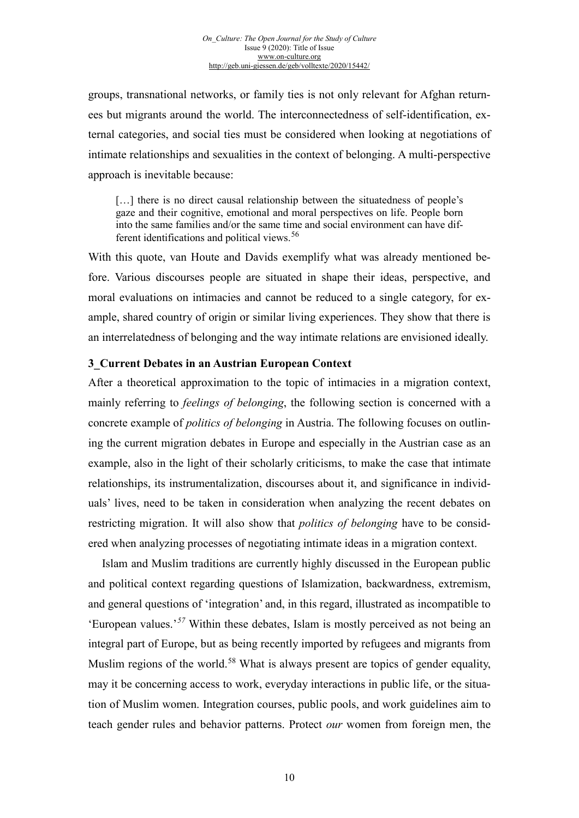groups, transnational networks, or family ties is not only relevant for Afghan returnees but migrants around the world. The interconnectedness of self-identification, external categories, and social ties must be considered when looking at negotiations of intimate relationships and sexualities in the context of belonging. A multi-perspective approach is inevitable because:

[...] there is no direct causal relationship between the situatedness of people's gaze and their cognitive, emotional and moral perspectives on life. People born into the same families and/or the same time and social environment can have dif-ferent identifications and political views.<sup>[56](#page-19-26)</sup>

With this quote, van Houte and Davids exemplify what was already mentioned before. Various discourses people are situated in shape their ideas, perspective, and moral evaluations on intimacies and cannot be reduced to a single category, for example, shared country of origin or similar living experiences. They show that there is an interrelatedness of belonging and the way intimate relations are envisioned ideally.

## **3\_Current Debates in an Austrian European Context**

After a theoretical approximation to the topic of intimacies in a migration context, mainly referring to *feelings of belonging*, the following section is concerned with a concrete example of *politics of belonging* in Austria. The following focuses on outlining the current migration debates in Europe and especially in the Austrian case as an example, also in the light of their scholarly criticisms, to make the case that intimate relationships, its instrumentalization, discourses about it, and significance in individuals' lives, need to be taken in consideration when analyzing the recent debates on restricting migration. It will also show that *politics of belonging* have to be considered when analyzing processes of negotiating intimate ideas in a migration context.

Islam and Muslim traditions are currently highly discussed in the European public and political context regarding questions of Islamization, backwardness, extremism, and general questions of 'integration' and, in this regard, illustrated as incompatible to 'European values.'*[57](#page-19-27)* Within these debates, Islam is mostly perceived as not being an integral part of Europe, but as being recently imported by refugees and migrants from Muslim regions of the world.<sup>[58](#page-19-28)</sup> What is always present are topics of gender equality, may it be concerning access to work, everyday interactions in public life, or the situation of Muslim women. Integration courses, public pools, and work guidelines aim to teach gender rules and behavior patterns. Protect *our* women from foreign men, the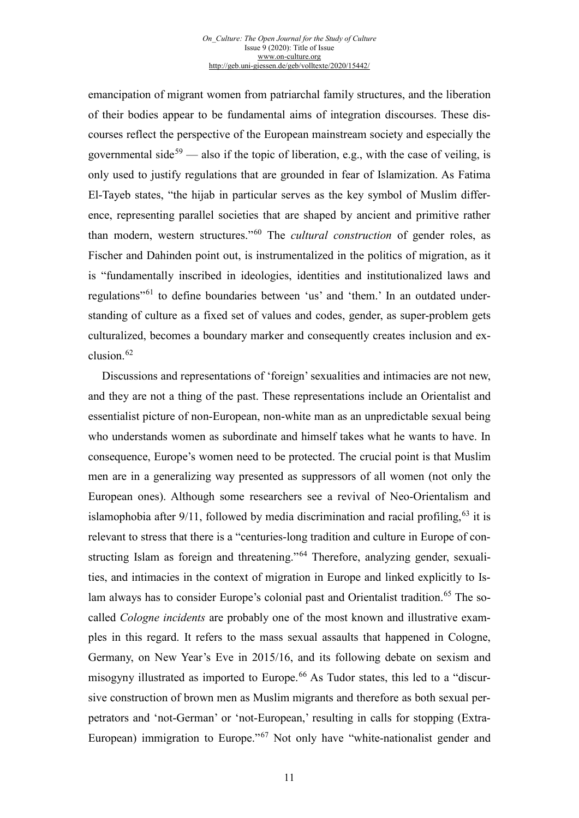emancipation of migrant women from patriarchal family structures, and the liberation of their bodies appear to be fundamental aims of integration discourses. These discourses reflect the perspective of the European mainstream society and especially the governmental side<sup>[59](#page-19-29)</sup> — also if the topic of liberation, e.g., with the case of veiling, is only used to justify regulations that are grounded in fear of Islamization. As Fatima El-Tayeb states, "the hijab in particular serves as the key symbol of Muslim difference, representing parallel societies that are shaped by ancient and primitive rather than modern, western structures."[60](#page-19-30) The *cultural construction* of gender roles, as Fischer and Dahinden point out, is instrumentalized in the politics of migration, as it is "fundamentally inscribed in ideologies, identities and institutionalized laws and regulations"[61](#page-19-31) to define boundaries between 'us' and 'them.' In an outdated understanding of culture as a fixed set of values and codes, gender, as super-problem gets culturalized, becomes a boundary marker and consequently creates inclusion and ex-clusion.<sup>[62](#page-19-32)</sup>

Discussions and representations of 'foreign' sexualities and intimacies are not new, and they are not a thing of the past. These representations include an Orientalist and essentialist picture of non-European, non-white man as an unpredictable sexual being who understands women as subordinate and himself takes what he wants to have. In consequence, Europe's women need to be protected. The crucial point is that Muslim men are in a generalizing way presented as suppressors of all women (not only the European ones). Although some researchers see a revival of Neo-Orientalism and islamophobia after 9/11, followed by media discrimination and racial profiling,  $63$  it is relevant to stress that there is a "centuries-long tradition and culture in Europe of constructing Islam as foreign and threatening."[64](#page-19-34) Therefore, analyzing gender, sexualities, and intimacies in the context of migration in Europe and linked explicitly to Is-lam always has to consider Europe's colonial past and Orientalist tradition.<sup>[65](#page-19-35)</sup> The socalled *Cologne incidents* are probably one of the most known and illustrative examples in this regard. It refers to the mass sexual assaults that happened in Cologne, Germany, on New Year's Eve in 2015/16, and its following debate on sexism and misogyny illustrated as imported to Europe.<sup>[66](#page-19-36)</sup> As Tudor states, this led to a "discursive construction of brown men as Muslim migrants and therefore as both sexual perpetrators and 'not-German' or 'not-European,' resulting in calls for stopping (Extra-European) immigration to Europe."<sup>[67](#page-19-37)</sup> Not only have "white-nationalist gender and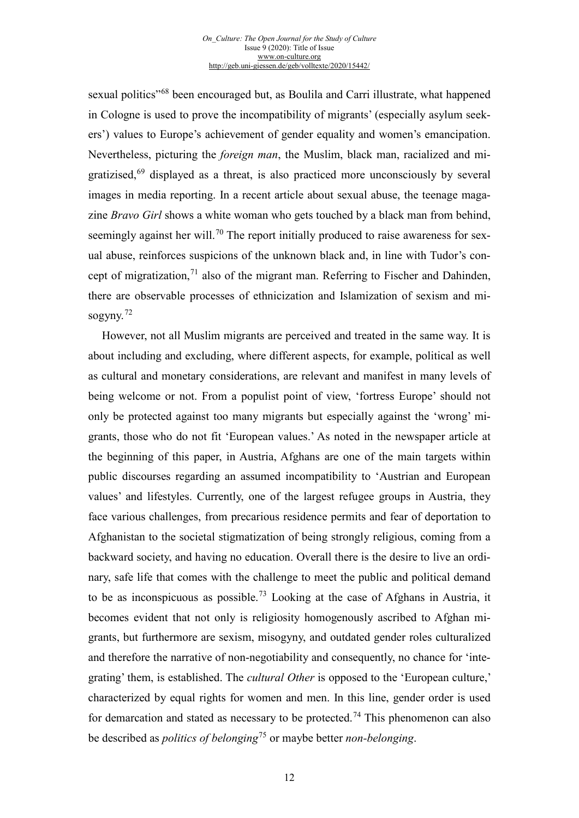sexual politics"<sup>[68](#page-19-38)</sup> been encouraged but, as Boulila and Carri illustrate, what happened in Cologne is used to prove the incompatibility of migrants' (especially asylum seekers') values to Europe's achievement of gender equality and women's emancipation. Nevertheless, picturing the *foreign man*, the Muslim, black man, racialized and migratizised,[69](#page-19-39) displayed as a threat, is also practiced more unconsciously by several images in media reporting. In a recent article about sexual abuse, the teenage magazine *Bravo Girl* shows a white woman who gets touched by a black man from behind, seemingly against her will.<sup>[70](#page-19-40)</sup> The report initially produced to raise awareness for sexual abuse, reinforces suspicions of the unknown black and, in line with Tudor's concept of migratization,  $^{71}$  $^{71}$  $^{71}$  also of the migrant man. Referring to Fischer and Dahinden, there are observable processes of ethnicization and Islamization of sexism and misogyny.[72](#page-19-42)

However, not all Muslim migrants are perceived and treated in the same way. It is about including and excluding, where different aspects, for example, political as well as cultural and monetary considerations, are relevant and manifest in many levels of being welcome or not. From a populist point of view, 'fortress Europe' should not only be protected against too many migrants but especially against the 'wrong' migrants, those who do not fit 'European values.' As noted in the newspaper article at the beginning of this paper, in Austria, Afghans are one of the main targets within public discourses regarding an assumed incompatibility to 'Austrian and European values' and lifestyles. Currently, one of the largest refugee groups in Austria, they face various challenges, from precarious residence permits and fear of deportation to Afghanistan to the societal stigmatization of being strongly religious, coming from a backward society, and having no education. Overall there is the desire to live an ordinary, safe life that comes with the challenge to meet the public and political demand to be as inconspicuous as possible.<sup>[73](#page-19-43)</sup> Looking at the case of Afghans in Austria, it becomes evident that not only is religiosity homogenously ascribed to Afghan migrants, but furthermore are sexism, misogyny, and outdated gender roles culturalized and therefore the narrative of non-negotiability and consequently, no chance for 'integrating' them, is established. The *cultural Other* is opposed to the 'European culture,' characterized by equal rights for women and men. In this line, gender order is used for demarcation and stated as necessary to be protected.<sup>[74](#page-19-44)</sup> This phenomenon can also be described as *politics of belonging*[75](#page-19-45) or maybe better *non-belonging*.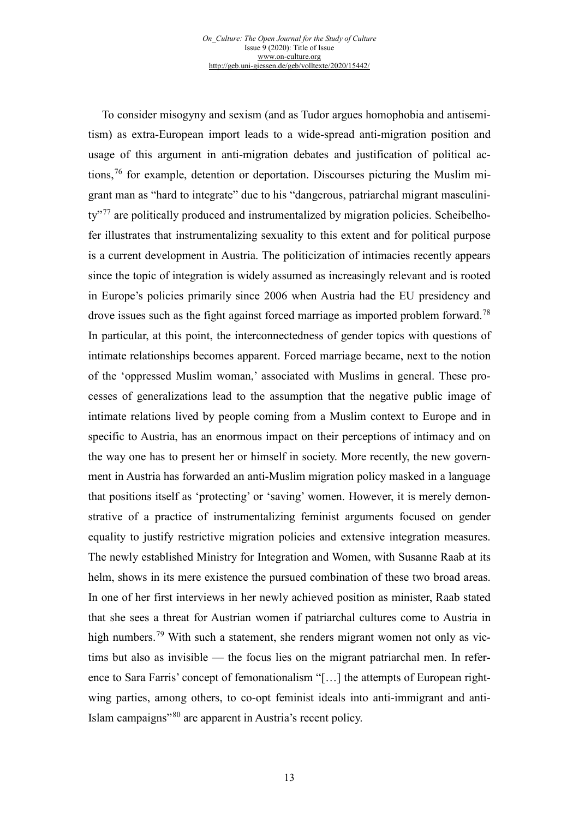To consider misogyny and sexism (and as Tudor argues homophobia and antisemitism) as extra-European import leads to a wide-spread anti-migration position and usage of this argument in anti-migration debates and justification of political actions,  $76$  for example, detention or deportation. Discourses picturing the Muslim migrant man as "hard to integrate" due to his "dangerous, patriarchal migrant masculini-ty<sup>3[77](#page-19-21)</sup> are politically produced and instrumentalized by migration policies. Scheibelhofer illustrates that instrumentalizing sexuality to this extent and for political purpose is a current development in Austria. The politicization of intimacies recently appears since the topic of integration is widely assumed as increasingly relevant and is rooted in Europe's policies primarily since 2006 when Austria had the EU presidency and drove issues such as the fight against forced marriage as imported problem forward.<sup>[78](#page-19-46)</sup> In particular, at this point, the interconnectedness of gender topics with questions of intimate relationships becomes apparent. Forced marriage became, next to the notion of the 'oppressed Muslim woman,' associated with Muslims in general. These processes of generalizations lead to the assumption that the negative public image of intimate relations lived by people coming from a Muslim context to Europe and in specific to Austria, has an enormous impact on their perceptions of intimacy and on the way one has to present her or himself in society. More recently, the new government in Austria has forwarded an anti-Muslim migration policy masked in a language that positions itself as 'protecting' or 'saving' women. However, it is merely demonstrative of a practice of instrumentalizing feminist arguments focused on gender equality to justify restrictive migration policies and extensive integration measures. The newly established Ministry for Integration and Women, with Susanne Raab at its helm, shows in its mere existence the pursued combination of these two broad areas. In one of her first interviews in her newly achieved position as minister, Raab stated that she sees a threat for Austrian women if patriarchal cultures come to Austria in high numbers.<sup>[79](#page-19-47)</sup> With such a statement, she renders migrant women not only as victims but also as invisible — the focus lies on the migrant patriarchal men. In reference to Sara Farris' concept of femonationalism "[…] the attempts of European rightwing parties, among others, to co-opt feminist ideals into anti-immigrant and anti-Islam campaigns"[80](#page-19-24) are apparent in Austria's recent policy.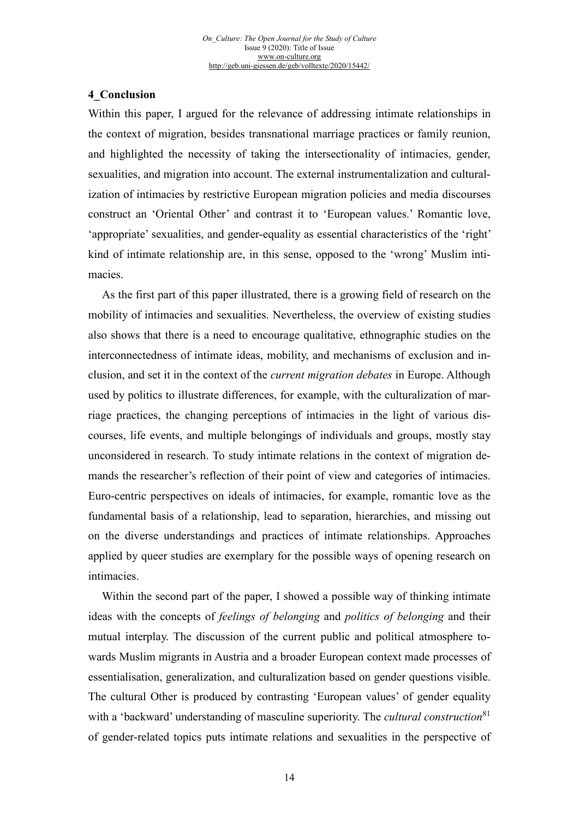## **4\_Conclusion**

Within this paper, I argued for the relevance of addressing intimate relationships in the context of migration, besides transnational marriage practices or family reunion, and highlighted the necessity of taking the intersectionality of intimacies, gender, sexualities, and migration into account. The external instrumentalization and culturalization of intimacies by restrictive European migration policies and media discourses construct an 'Oriental Other' and contrast it to 'European values.' Romantic love, 'appropriate' sexualities, and gender-equality as essential characteristics of the 'right' kind of intimate relationship are, in this sense, opposed to the 'wrong' Muslim intimacies.

As the first part of this paper illustrated, there is a growing field of research on the mobility of intimacies and sexualities. Nevertheless, the overview of existing studies also shows that there is a need to encourage qualitative, ethnographic studies on the interconnectedness of intimate ideas, mobility, and mechanisms of exclusion and inclusion, and set it in the context of the *current migration debates* in Europe. Although used by politics to illustrate differences, for example, with the culturalization of marriage practices, the changing perceptions of intimacies in the light of various discourses, life events, and multiple belongings of individuals and groups, mostly stay unconsidered in research. To study intimate relations in the context of migration demands the researcher's reflection of their point of view and categories of intimacies. Euro-centric perspectives on ideals of intimacies, for example, romantic love as the fundamental basis of a relationship, lead to separation, hierarchies, and missing out on the diverse understandings and practices of intimate relationships. Approaches applied by queer studies are exemplary for the possible ways of opening research on intimacies.

Within the second part of the paper, I showed a possible way of thinking intimate ideas with the concepts of *feelings of belonging* and *politics of belonging* and their mutual interplay. The discussion of the current public and political atmosphere towards Muslim migrants in Austria and a broader European context made processes of essentialisation, generalization, and culturalization based on gender questions visible. The cultural Other is produced by contrasting 'European values' of gender equality with a 'backward' understanding of masculine superiority. The *cultural construction*<sup>[81](#page-19-25)</sup> of gender-related topics puts intimate relations and sexualities in the perspective of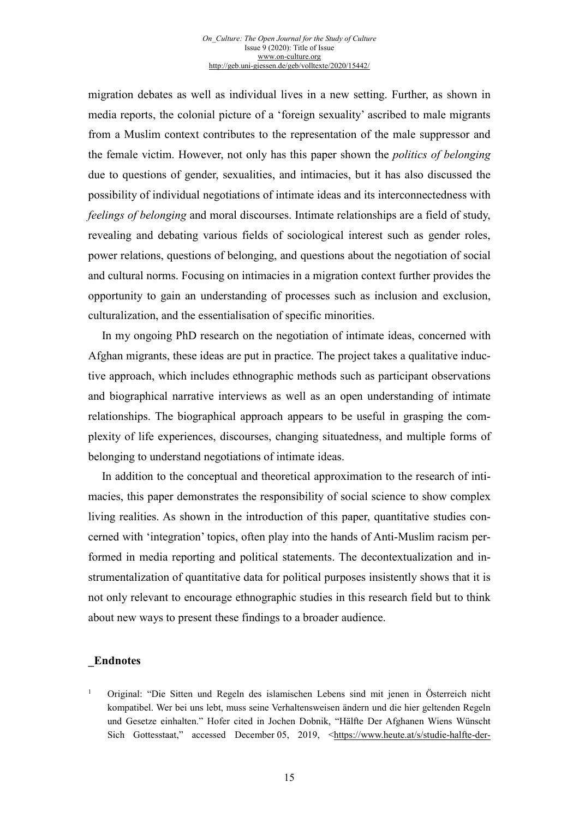migration debates as well as individual lives in a new setting. Further, as shown in media reports, the colonial picture of a 'foreign sexuality' ascribed to male migrants from a Muslim context contributes to the representation of the male suppressor and the female victim. However, not only has this paper shown the *politics of belonging* due to questions of gender, sexualities, and intimacies, but it has also discussed the possibility of individual negotiations of intimate ideas and its interconnectedness with *feelings of belonging* and moral discourses. Intimate relationships are a field of study, revealing and debating various fields of sociological interest such as gender roles, power relations, questions of belonging, and questions about the negotiation of social and cultural norms. Focusing on intimacies in a migration context further provides the opportunity to gain an understanding of processes such as inclusion and exclusion, culturalization, and the essentialisation of specific minorities.

In my ongoing PhD research on the negotiation of intimate ideas, concerned with Afghan migrants, these ideas are put in practice. The project takes a qualitative inductive approach, which includes ethnographic methods such as participant observations and biographical narrative interviews as well as an open understanding of intimate relationships. The biographical approach appears to be useful in grasping the complexity of life experiences, discourses, changing situatedness, and multiple forms of belonging to understand negotiations of intimate ideas.

In addition to the conceptual and theoretical approximation to the research of intimacies, this paper demonstrates the responsibility of social science to show complex living realities. As shown in the introduction of this paper, quantitative studies concerned with 'integration' topics, often play into the hands of Anti-Muslim racism performed in media reporting and political statements. The decontextualization and instrumentalization of quantitative data for political purposes insistently shows that it is not only relevant to encourage ethnographic studies in this research field but to think about new ways to present these findings to a broader audience.

## **\_Endnotes**

<sup>1</sup> Original: "Die Sitten und Regeln des islamischen Lebens sind mit jenen in Österreich nicht kompatibel. Wer bei uns lebt, muss seine Verhaltensweisen ändern und die hier geltenden Regeln und Gesetze einhalten." Hofer cited in Jochen Dobnik, "Hälfte Der Afghanen Wiens Wünscht Sich Gottesstaat," accessed December 05, 2019, [<https://www.heute.at/s/studie-halfte-der-](https://www.heute.at/s/studie-halfte-der-afghanen-wiens-wunscht-sich-gottesstaat-50470574)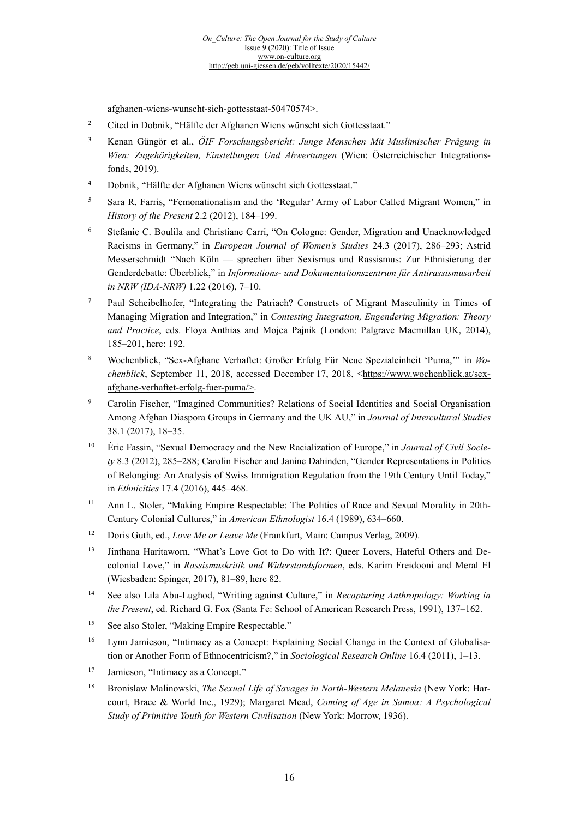[afghanen-wiens-wunscht-sich-gottesstaat-50470574>](https://www.heute.at/s/studie-halfte-der-afghanen-wiens-wunscht-sich-gottesstaat-50470574).

- <span id="page-15-1"></span><sup>2</sup> Cited in Dobnik, "Hälfte der Afghanen Wiens wünscht sich Gottesstaat."
- <span id="page-15-2"></span><sup>3</sup> Kenan Güngör et al., *ÖIF Forschungsbericht: Junge Menschen Mit Muslimischer Prägung in Wien: Zugehörigkeiten, Einstellungen Und Abwertungen* (Wien: Österreichischer Integrationsfonds, 2019).
- <span id="page-15-3"></span><sup>4</sup> Dobnik, "Hälfte der Afghanen Wiens wünscht sich Gottesstaat."
- <span id="page-15-4"></span><sup>5</sup> Sara R. Farris, "Femonationalism and the 'Regular' Army of Labor Called Migrant Women," in *History of the Present* 2.2 (2012), 184–199.
- <sup>6</sup> Stefanie C. Boulila and Christiane Carri, "On Cologne: Gender, Migration and Unacknowledged Racisms in Germany," in *European Journal of Women's Studies* 24.3 (2017), 286–293; Astrid Messerschmidt "Nach Köln — sprechen über Sexismus und Rassismus: Zur Ethnisierung der Genderdebatte: Überblick," in *Informations- und Dokumentationszentrum für Antirassismusarbeit in NRW (IDA-NRW)* 1.22 (2016), 7–10.
- <sup>7</sup> Paul Scheibelhofer, "Integrating the Patriach? Constructs of Migrant Masculinity in Times of Managing Migration and Integration," in *Contesting Integration, Engendering Migration: Theory and Practice*, eds. Floya Anthias and Mojca Pajnik (London: Palgrave Macmillan UK, 2014), 185–201, here: 192.
- <sup>8</sup> Wochenblick, "Sex-Afghane Verhaftet: Großer Erfolg Für Neue Spezialeinheit 'Puma,'" in *Wochenblick*, September 11, 2018, accessed December 17, 2018, [<https://www.wochenblick.at/sex](https://www.wochenblick.at/sex-afghane-verhaftet-erfolg-fuer-puma/)[afghane-verhaftet-erfolg-fuer-puma/>](https://www.wochenblick.at/sex-afghane-verhaftet-erfolg-fuer-puma/).
- <sup>9</sup> Carolin Fischer, "Imagined Communities? Relations of Social Identities and Social Organisation Among Afghan Diaspora Groups in Germany and the UK AU," in *Journal of Intercultural Studies* 38.1 (2017), 18–35.
- <sup>10</sup> Éric Fassin, "Sexual Democracy and the New Racialization of Europe," in *Journal of Civil Society* 8.3 (2012), 285–288; Carolin Fischer and Janine Dahinden, "Gender Representations in Politics of Belonging: An Analysis of Swiss Immigration Regulation from the 19th Century Until Today," in *Ethnicities* 17.4 (2016), 445–468.
- <sup>11</sup> Ann L. Stoler, "Making Empire Respectable: The Politics of Race and Sexual Morality in 20th-Century Colonial Cultures," in *American Ethnologist* 16.4 (1989), 634–660.
- <sup>12</sup> Doris Guth, ed., *Love Me or Leave Me* (Frankfurt, Main: Campus Verlag, 2009).
- <sup>13</sup> Jinthana Haritaworn, "What's Love Got to Do with It?: Queer Lovers, Hateful Others and Decolonial Love," in *Rassismuskritik und Widerstandsformen*, eds. Karim Freidooni and Meral El (Wiesbaden: Spinger, 2017), 81–89, here 82.
- <sup>14</sup> See also Lila Abu-Lughod, "Writing against Culture," in *Recapturing Anthropology: Working in the Present*, ed. Richard G. Fox (Santa Fe: School of American Research Press, 1991), 137–162.
- <sup>15</sup> See also Stoler, "Making Empire Respectable."
- <sup>16</sup> Lynn Jamieson, "Intimacy as a Concept: Explaining Social Change in the Context of Globalisation or Another Form of Ethnocentricism?," in *Sociological Research Online* 16.4 (2011), 1–13.
- <sup>17</sup> Jamieson, "Intimacy as a Concept."
- <span id="page-15-0"></span><sup>18</sup> Bronislaw Malinowski, *The Sexual Life of Savages in North-Western Melanesia* (New York: Harcourt, Brace & World Inc., 1929); Margaret Mead, *Coming of Age in Samoa: A Psychological Study of Primitive Youth for Western Civilisation* (New York: Morrow, 1936).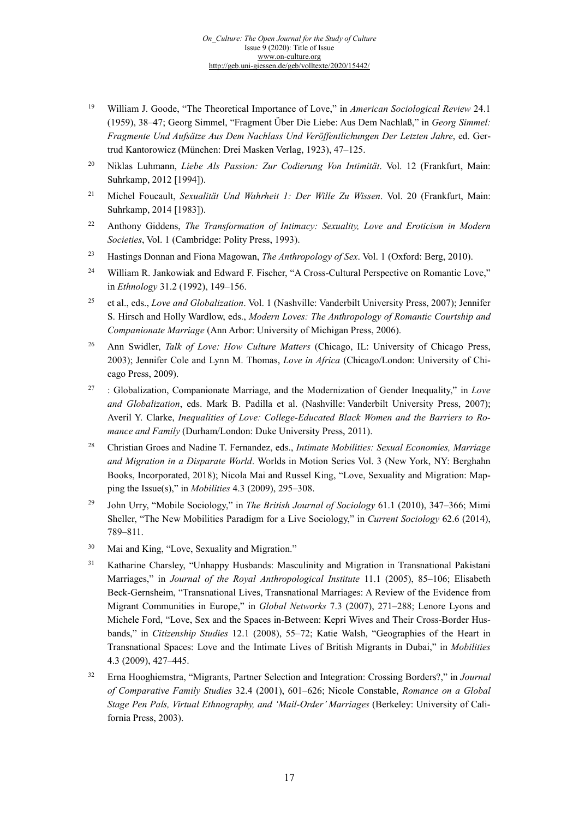- <sup>19</sup> William J. Goode, "The Theoretical Importance of Love," in *American Sociological Review* 24.1 (1959), 38–47; Georg Simmel, "Fragment Über Die Liebe: Aus Dem Nachlaß," in *Georg Simmel: Fragmente Und Aufsätze Aus Dem Nachlass Und Veröffentlichungen Der Letzten Jahre*, ed. Gertrud Kantorowicz (München: Drei Masken Verlag, 1923), 47–125.
- <sup>20</sup> Niklas Luhmann, *Liebe Als Passion: Zur Codierung Von Intimität*. Vol. 12 (Frankfurt, Main: Suhrkamp, 2012 [1994]).
- <sup>21</sup> Michel Foucault, *Sexualität Und Wahrheit 1: Der Wille Zu Wissen*. Vol. 20 (Frankfurt, Main: Suhrkamp, 2014 [1983]).
- <span id="page-16-0"></span><sup>22</sup> Anthony Giddens, *The Transformation of Intimacy: Sexuality, Love and Eroticism in Modern Societies*, Vol. 1 (Cambridge: Polity Press, 1993).
- <sup>23</sup> Hastings Donnan and Fiona Magowan, *The Anthropology of Sex*. Vol. 1 (Oxford: Berg, 2010).
- <sup>24</sup> William R. Jankowiak and Edward F. Fischer, "A Cross-Cultural Perspective on Romantic Love," in *Ethnology* 31.2 (1992), 149–156.
- <span id="page-16-1"></span><sup>25</sup> et al., eds., *Love and Globalization*. Vol. 1 (Nashville: Vanderbilt University Press, 2007); Jennifer S. Hirsch and Holly Wardlow, eds., *Modern Loves: The Anthropology of Romantic Courtship and Companionate Marriage* (Ann Arbor: University of Michigan Press, 2006).
- <span id="page-16-2"></span><sup>26</sup> Ann Swidler, *Talk of Love: How Culture Matters* (Chicago, IL: University of Chicago Press, 2003); Jennifer Cole and Lynn M. Thomas, *Love in Africa* (Chicago/London: University of Chicago Press, 2009).
- <span id="page-16-3"></span><sup>27</sup> : Globalization, Companionate Marriage, and the Modernization of Gender Inequality," in *Love and Globalization*, eds. Mark B. Padilla et al. (Nashville: Vanderbilt University Press, 2007); Averil Y. Clarke, *Inequalities of Love: College-Educated Black Women and the Barriers to Romance and Family* (Durham/London: Duke University Press, 2011).
- <span id="page-16-4"></span><sup>28</sup> Christian Groes and Nadine T. Fernandez, eds., *Intimate Mobilities: Sexual Economies, Marriage and Migration in a Disparate World*. Worlds in Motion Series Vol. 3 (New York, NY: Berghahn Books, Incorporated, 2018); Nicola Mai and Russel King, "Love, Sexuality and Migration: Mapping the Issue(s)," in *Mobilities* 4.3 (2009), 295–308.
- <span id="page-16-5"></span><sup>29</sup> John Urry, "Mobile Sociology," in *The British Journal of Sociology* 61.1 (2010), 347–366; Mimi Sheller, "The New Mobilities Paradigm for a Live Sociology," in *Current Sociology* 62.6 (2014), 789–811.
- <span id="page-16-7"></span><span id="page-16-6"></span><sup>30</sup> Mai and King, "Love, Sexuality and Migration."
- <sup>31</sup> Katharine Charsley, "Unhappy Husbands: Masculinity and Migration in Transnational Pakistani Marriages," in *Journal of the Royal Anthropological Institute* 11.1 (2005), 85–106; Elisabeth Beck‐Gernsheim, "Transnational Lives, Transnational Marriages: A Review of the Evidence from Migrant Communities in Europe," in *Global Networks* 7.3 (2007), 271–288; Lenore Lyons and Michele Ford, "Love, Sex and the Spaces in-Between: Kepri Wives and Their Cross-Border Husbands," in *Citizenship Studies* 12.1 (2008), 55–72; Katie Walsh, "Geographies of the Heart in Transnational Spaces: Love and the Intimate Lives of British Migrants in Dubai," in *Mobilities* 4.3 (2009), 427–445.
- <sup>32</sup> Erna Hooghiemstra, "Migrants, Partner Selection and Integration: Crossing Borders?," in *Journal of Comparative Family Studies* 32.4 (2001), 601–626; Nicole Constable, *Romance on a Global Stage Pen Pals, Virtual Ethnography, and 'Mail-Order' Marriages* (Berkeley: University of California Press, 2003).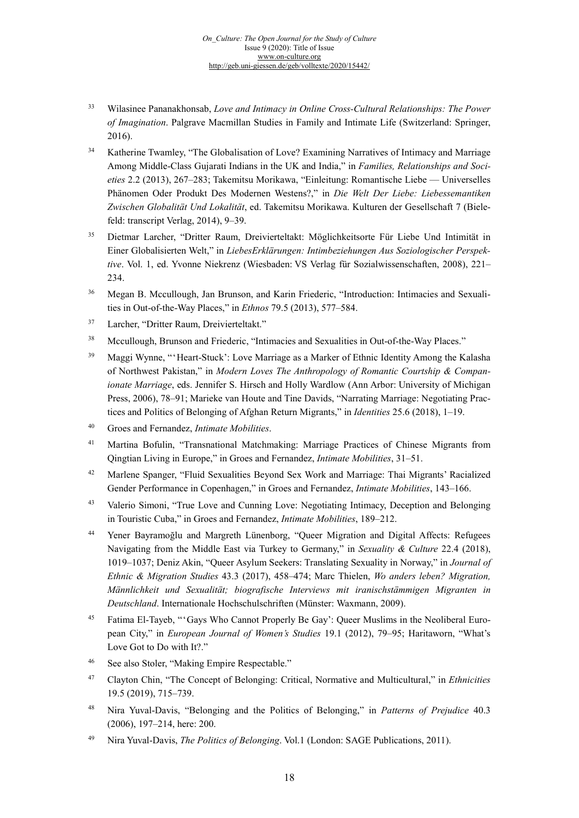- <sup>33</sup> Wilasinee Pananakhonsab, *Love and Intimacy in Online Cross-Cultural Relationships: The Power of Imagination*. Palgrave Macmillan Studies in Family and Intimate Life (Switzerland: Springer, 2016).
- <sup>34</sup> Katherine Twamley, "The Globalisation of Love? Examining Narratives of Intimacy and Marriage Among Middle-Class Gujarati Indians in the UK and India," in *Families, Relationships and Societies* 2.2 (2013), 267–283; Takemitsu Morikawa, "Einleitung: Romantische Liebe — Universelles Phänomen Oder Produkt Des Modernen Westens?," in *Die Welt Der Liebe: Liebessemantiken Zwischen Globalität Und Lokalität*, ed. Takemitsu Morikawa. Kulturen der Gesellschaft 7 (Bielefeld: transcript Verlag, 2014), 9–39.
- <sup>35</sup> Dietmar Larcher, "Dritter Raum, Dreivierteltakt: Möglichkeitsorte Für Liebe Und Intimität in Einer Globalisierten Welt," in *LiebesErklärungen: Intimbeziehungen Aus Soziologischer Perspektive*. Vol. 1, ed. Yvonne Niekrenz (Wiesbaden: VS Verlag für Sozialwissenschaften, 2008), 221– 234.
- <sup>36</sup> Megan B. Mccullough, Jan Brunson, and Karin Friederic, "Introduction: Intimacies and Sexualities in Out-of-the-Way Places," in *Ethnos* 79.5 (2013), 577–584.
- <sup>37</sup> Larcher, "Dritter Raum, Dreivierteltakt."
- <sup>38</sup> Mccullough, Brunson and Friederic, "Intimacies and Sexualities in Out-of-the-Way Places."
- <sup>39</sup> Maggi Wynne, "'Heart-Stuck': Love Marriage as a Marker of Ethnic Identity Among the Kalasha of Northwest Pakistan," in *Modern Loves The Anthropology of Romantic Courtship & Companionate Marriage*, eds. Jennifer S. Hirsch and Holly Wardlow (Ann Arbor: University of Michigan Press, 2006), 78–91; Marieke van Houte and Tine Davids, "Narrating Marriage: Negotiating Practices and Politics of Belonging of Afghan Return Migrants," in *Identities* 25.6 (2018), 1–19.
- <sup>40</sup> Groes and Fernandez, *Intimate Mobilities*.
- <sup>41</sup> Martina Bofulin, "Transnational Matchmaking: Marriage Practices of Chinese Migrants from Qingtian Living in Europe," in Groes and Fernandez, *Intimate Mobilities*, 31–51.
- <sup>42</sup> Marlene Spanger, "Fluid Sexualities Beyond Sex Work and Marriage: Thai Migrants' Racialized Gender Performance in Copenhagen," in Groes and Fernandez, *Intimate Mobilities*, 143–166.
- <sup>43</sup> Valerio Simoni, "True Love and Cunning Love: Negotiating Intimacy, Deception and Belonging in Touristic Cuba," in Groes and Fernandez, *Intimate Mobilities*, 189–212.
- <sup>44</sup> Yener Bayramoğlu and Margreth Lünenborg, "Queer Migration and Digital Affects: Refugees Navigating from the Middle East via Turkey to Germany," in *Sexuality & Culture* 22.4 (2018), 1019–1037; Deniz Akin, "Queer Asylum Seekers: Translating Sexuality in Norway," in *Journal of Ethnic & Migration Studies* 43.3 (2017), 458–474; Marc Thielen, *Wo anders leben? Migration, Männlichkeit und Sexualität; biografische Interviews mit iranischstämmigen Migranten in Deutschland*. Internationale Hochschulschriften (Münster: Waxmann, 2009).
- <span id="page-17-2"></span><span id="page-17-1"></span><span id="page-17-0"></span><sup>45</sup> Fatima El-Tayeb, "'Gays Who Cannot Properly Be Gay': Queer Muslims in the Neoliberal European City," in *European Journal of Women's Studies* 19.1 (2012), 79–95; Haritaworn, "What's Love Got to Do with It?."
- <sup>46</sup> See also Stoler, "Making Empire Respectable."
- <sup>47</sup> Clayton Chin, "The Concept of Belonging: Critical, Normative and Multicultural," in *Ethnicities*  19.5 (2019), 715–739.
- <sup>48</sup> Nira Yuval-Davis, "Belonging and the Politics of Belonging," in *Patterns of Prejudice* 40.3 (2006), 197–214, here: 200.
- <sup>49</sup> Nira Yuval-Davis, *The Politics of Belonging*. Vol.1 (London: SAGE Publications, 2011).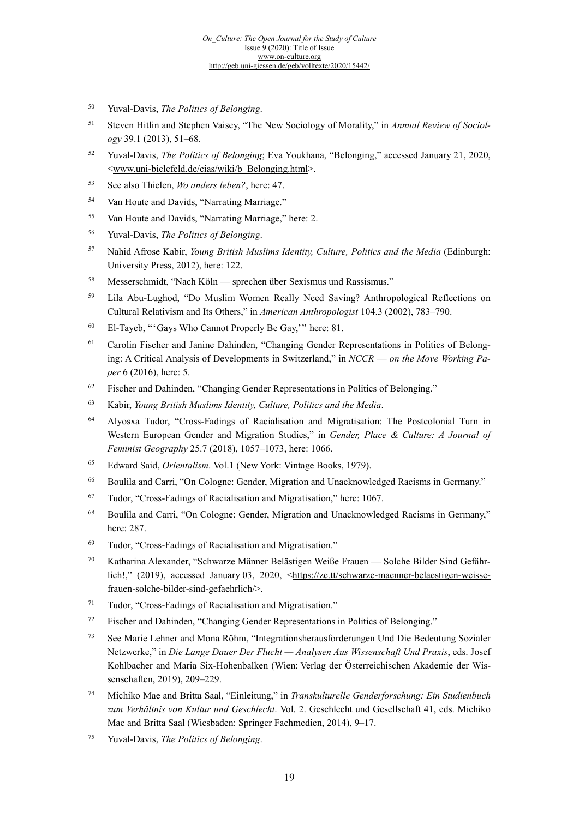- <span id="page-18-2"></span><sup>50</sup> Yuval-Davis, *The Politics of Belonging*.
- <sup>51</sup> Steven Hitlin and Stephen Vaisey, "The New Sociology of Morality," in *Annual Review of Sociology* 39.1 (2013), 51–68.
- <span id="page-18-3"></span><sup>52</sup> Yuval-Davis, *The Politics of Belonging*; Eva Youkhana, "Belonging," accessed January 21, 2020, [<www.uni-bielefeld.de/cias/wiki/b\\_Belonging.html>](http://www.uni-bielefeld.de/cias/wiki/b_Belonging.html).
- <sup>53</sup> See also Thielen, *Wo anders leben?*, here: 47.
- <span id="page-18-4"></span><sup>54</sup> Van Houte and Davids, "Narrating Marriage."
- <span id="page-18-5"></span><sup>55</sup> Van Houte and Davids, "Narrating Marriage," here: 2.
- <sup>56</sup> Yuval-Davis, *The Politics of Belonging*.
- <span id="page-18-6"></span><sup>57</sup> Nahid Afrose Kabir, *Young British Muslims Identity, Culture, Politics and the Media* (Edinburgh: University Press, 2012), here: 122.
- <span id="page-18-7"></span><sup>58</sup> Messerschmidt, "Nach Köln — sprechen über Sexismus und Rassismus."
- <span id="page-18-8"></span><sup>59</sup> Lila Abu-Lughod, "Do Muslim Women Really Need Saving? Anthropological Reflections on Cultural Relativism and Its Others," in *American Anthropologist* 104.3 (2002), 783–790.
- <sup>60</sup> El-Tayeb, "'Gays Who Cannot Properly Be Gay,'" here: 81.
- <span id="page-18-9"></span><sup>61</sup> Carolin Fischer and Janine Dahinden, "Changing Gender Representations in Politics of Belonging: A Critical Analysis of Developments in Switzerland," in *NCCR* — *on the Move Working Paper* 6 (2016), here: 5.
- <span id="page-18-10"></span><sup>62</sup> Fischer and Dahinden, "Changing Gender Representations in Politics of Belonging."
- <sup>63</sup> Kabir, *Young British Muslims Identity, Culture, Politics and the Media*.
- <sup>64</sup> Alyosxa Tudor, "Cross-Fadings of Racialisation and Migratisation: The Postcolonial Turn in Western European Gender and Migration Studies," in *Gender, Place & Culture: A Journal of Feminist Geography* 25.7 (2018), 1057–1073, here: 1066.
- <sup>65</sup> Edward Said, *Orientalism*. Vol.1 (New York: Vintage Books, 1979).
- <sup>66</sup> Boulila and Carri, "On Cologne: Gender, Migration and Unacknowledged Racisms in Germany."
- <sup>67</sup> Tudor, "Cross-Fadings of Racialisation and Migratisation," here: 1067.
- <sup>68</sup> Boulila and Carri, "On Cologne: Gender, Migration and Unacknowledged Racisms in Germany," here: 287.
- <sup>69</sup> Tudor, "Cross-Fadings of Racialisation and Migratisation."
- <sup>70</sup> Katharina Alexander, "Schwarze Männer Belästigen Weiße Frauen Solche Bilder Sind Gefähr-lich!," (2019), accessed January 03, 2020, [<https://ze.tt/schwarze-maenner-belaestigen-weisse](https://ze.tt/schwarze-maenner-belaestigen-weisse-frauen-solche-bilder-sind-gefaehrlich/)[frauen-solche-bilder-sind-gefaehrlich/>](https://ze.tt/schwarze-maenner-belaestigen-weisse-frauen-solche-bilder-sind-gefaehrlich/).
- <sup>71</sup> Tudor, "Cross-Fadings of Racialisation and Migratisation."
- <sup>72</sup> Fischer and Dahinden, "Changing Gender Representations in Politics of Belonging."
- <sup>73</sup> See Marie Lehner and Mona Röhm, "Integrationsherausforderungen Und Die Bedeutung Sozialer Netzwerke," in *Die Lange Dauer Der Flucht — Analysen Aus Wissenschaft Und Praxis*, eds. Josef Kohlbacher and Maria Six-Hohenbalken (Wien: Verlag der Österreichischen Akademie der Wissenschaften, 2019), 209–229.
- <span id="page-18-1"></span><span id="page-18-0"></span><sup>74</sup> Michiko Mae and Britta Saal, "Einleitung," in *Transkulturelle Genderforschung: Ein Studienbuch zum Verhältnis von Kultur und Geschlecht*. Vol. 2. Geschlecht und Gesellschaft 41, eds. Michiko Mae and Britta Saal (Wiesbaden: Springer Fachmedien, 2014), 9–17.
- <sup>75</sup> Yuval-Davis, *The Politics of Belonging*.